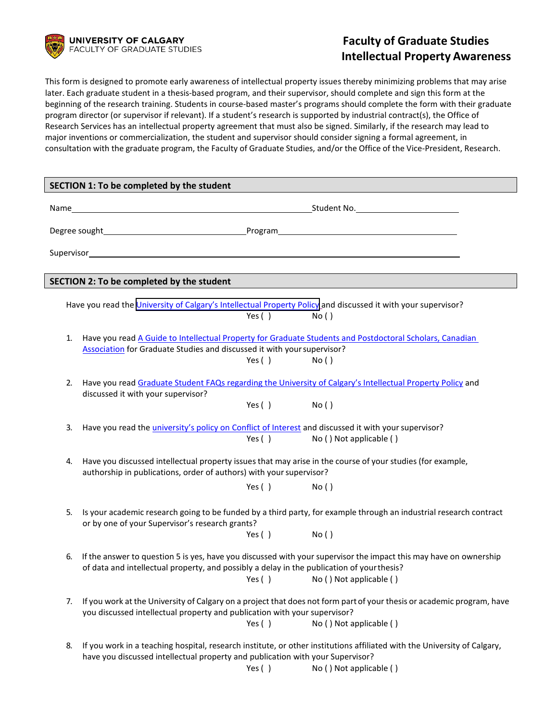

## **Faculty of Graduate Studies Intellectual Property Awareness**

This form is designed to promote early awareness of intellectual property issues thereby minimizing problems that may arise later. Each graduate student in a thesis-based program, and their supervisor, should complete and sign this form at the beginning of the research training. Students in course-based master's programs should complete the form with their graduate program director (or supervisor if relevant). If a student's research is supported by industrial contract(s), the Office of Research Services has an intellectual property agreement that must also be signed. Similarly, if the research may lead to major inventions or commercialization, the student and supervisor should consider signing a formal agreement, in consultation with the graduate program, the Faculty of Graduate Studies, and/or the Office of the Vice-President, Research.

| SECTION 1: To be completed by the student                                                                                                                                                 |                                                                                                                                                                                                                 |  |  |  |  |  |
|-------------------------------------------------------------------------------------------------------------------------------------------------------------------------------------------|-----------------------------------------------------------------------------------------------------------------------------------------------------------------------------------------------------------------|--|--|--|--|--|
|                                                                                                                                                                                           |                                                                                                                                                                                                                 |  |  |  |  |  |
|                                                                                                                                                                                           |                                                                                                                                                                                                                 |  |  |  |  |  |
|                                                                                                                                                                                           |                                                                                                                                                                                                                 |  |  |  |  |  |
|                                                                                                                                                                                           |                                                                                                                                                                                                                 |  |  |  |  |  |
| SECTION 2: To be completed by the student                                                                                                                                                 |                                                                                                                                                                                                                 |  |  |  |  |  |
|                                                                                                                                                                                           |                                                                                                                                                                                                                 |  |  |  |  |  |
|                                                                                                                                                                                           | Have you read the University of Calgary's Intellectual Property Policy and discussed it with your supervisor?<br>Yes()<br>No()                                                                                  |  |  |  |  |  |
|                                                                                                                                                                                           |                                                                                                                                                                                                                 |  |  |  |  |  |
| Have you read A Guide to Intellectual Property for Graduate Students and Postdoctoral Scholars, Canadian<br>1.<br>Association for Graduate Studies and discussed it with your supervisor? |                                                                                                                                                                                                                 |  |  |  |  |  |
|                                                                                                                                                                                           | Yes()<br>No()                                                                                                                                                                                                   |  |  |  |  |  |
|                                                                                                                                                                                           |                                                                                                                                                                                                                 |  |  |  |  |  |
| 2.                                                                                                                                                                                        | Have you read Graduate Student FAQs regarding the University of Calgary's Intellectual Property Policy and<br>discussed it with your supervisor?                                                                |  |  |  |  |  |
|                                                                                                                                                                                           | Yes() No()                                                                                                                                                                                                      |  |  |  |  |  |
|                                                                                                                                                                                           |                                                                                                                                                                                                                 |  |  |  |  |  |
| 3.                                                                                                                                                                                        | Have you read the <i>university's policy on Conflict of Interest</i> and discussed it with your supervisor?<br>Yes $( )$<br>No () Not applicable ()                                                             |  |  |  |  |  |
|                                                                                                                                                                                           |                                                                                                                                                                                                                 |  |  |  |  |  |
| 4.                                                                                                                                                                                        | Have you discussed intellectual property issues that may arise in the course of your studies (for example,                                                                                                      |  |  |  |  |  |
|                                                                                                                                                                                           | authorship in publications, order of authors) with your supervisor?                                                                                                                                             |  |  |  |  |  |
|                                                                                                                                                                                           | $Yes()$ $No()$                                                                                                                                                                                                  |  |  |  |  |  |
| 5.                                                                                                                                                                                        | Is your academic research going to be funded by a third party, for example through an industrial research contract<br>or by one of your Supervisor's research grants?                                           |  |  |  |  |  |
|                                                                                                                                                                                           | $Yes()$ $No()$                                                                                                                                                                                                  |  |  |  |  |  |
|                                                                                                                                                                                           |                                                                                                                                                                                                                 |  |  |  |  |  |
| 6.                                                                                                                                                                                        | If the answer to question 5 is yes, have you discussed with your supervisor the impact this may have on ownership<br>of data and intellectual property, and possibly a delay in the publication of your thesis? |  |  |  |  |  |
|                                                                                                                                                                                           | Yes $( )$<br>No () Not applicable ()                                                                                                                                                                            |  |  |  |  |  |
|                                                                                                                                                                                           |                                                                                                                                                                                                                 |  |  |  |  |  |
| 7.                                                                                                                                                                                        | If you work at the University of Calgary on a project that does not form part of your thesis or academic program, have<br>you discussed intellectual property and publication with your supervisor?             |  |  |  |  |  |
|                                                                                                                                                                                           | Yes $( )$<br>No () Not applicable ()                                                                                                                                                                            |  |  |  |  |  |
| 8.                                                                                                                                                                                        | If you work in a teaching hospital, research institute, or other institutions affiliated with the University of Calgary,                                                                                        |  |  |  |  |  |
|                                                                                                                                                                                           | have you discussed intellectual property and publication with your Supervisor?                                                                                                                                  |  |  |  |  |  |
|                                                                                                                                                                                           | No () Not applicable ()<br>Yes $( )$                                                                                                                                                                            |  |  |  |  |  |